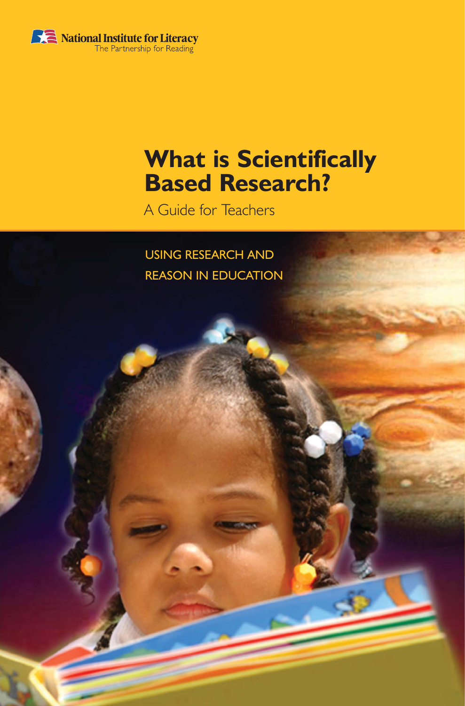

# **What is Scientifically Based Research?**

A Guide for Teachers

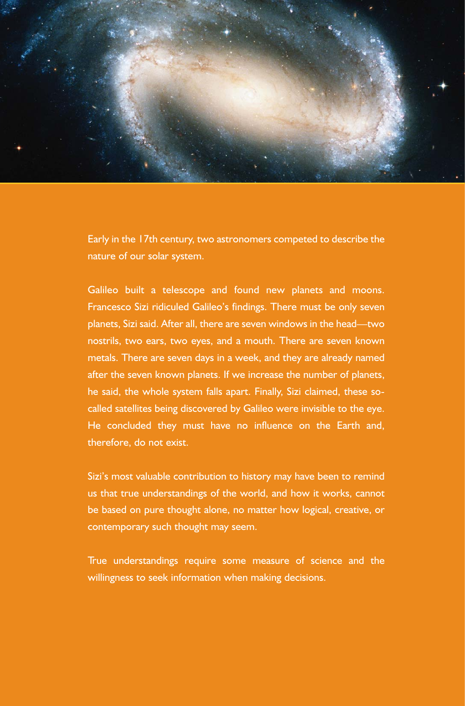

Early in the 17th century, two astronomers competed to describe the nature of our solar system.

Galileo built a telescope and found new planets and moons. Francesco Sizi ridiculed Galileo's findings. There must be only seven planets, Sizi said. After all, there are seven windows in the head—two nostrils, two ears, two eyes, and a mouth. There are seven known metals. There are seven days in a week, and they are already named after the seven known planets. If we increase the number of planets, he said, the whole system falls apart. Finally, Sizi claimed, these socalled satellites being discovered by Galileo were invisible to the eye. He concluded they must have no influence on the Earth and, therefore, do not exist.

Sizi's most valuable contribution to history may have been to remind us that true understandings of the world, and how it works, cannot be based on pure thought alone, no matter how logical, creative, or contemporary such thought may seem.

True understandings require some measure of science and the willingness to seek information when making decisions.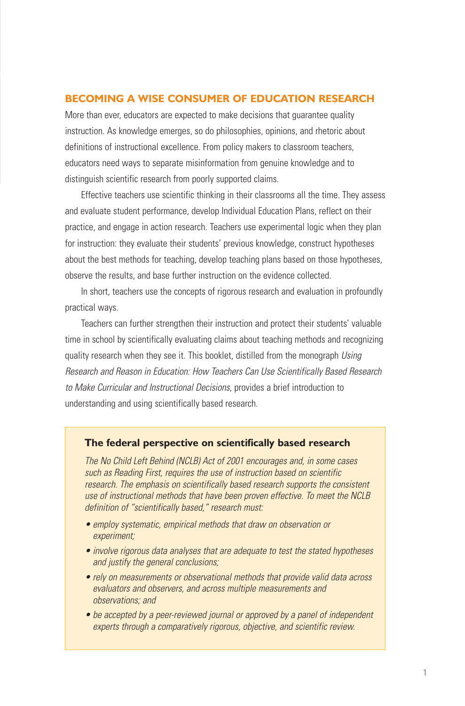# **BECOMING A WISE CONSUMER OF EDUCATION RESEARCH**

More than ever, educators are expected to make decisions that guarantee quality instruction. As knowledge emerges, so do philosophies, opinions, and rhetoric about definitions of instructional excellence. From policy makers to classroom teachers, educators need ways to separate misinformation from genuine knowledge and to distinguish scientific research from poorly supported claims.

Effective teachers use scientific thinking in their classrooms all the time. They assess and evaluate student performance, develop Individual Education Plans, reflect on their practice, and engage in action research. Teachers use experimental logic when they plan for instruction: they evaluate their students' previous knowledge, construct hypotheses about the best methods for teaching, develop teaching plans based on those hypotheses, observe the results, and base further instruction on the evidence collected.

In short, teachers use the concepts of rigorous research and evaluation in profoundly practical ways.

Teachers can further strengthen their instruction and protect their students' valuable time in school by scientifically evaluating claims about teaching methods and recognizing quality research when they see it. This booklet, distilled from the monograph Using Research and Reason in Education: How Teachers Can Use Scientifically Based Research to Make Curricular and Instructional Decisions, provides a brief introduction to understanding and using scientifically based research.

## **The federal perspective on scientifically based research**

The No Child Left Behind (NCLB) Act of 2001 encourages and, in some cases such as Reading First, requires the use of instruction based on scientific research. The emphasis on scientifically based research supports the consistent use of instructional methods that have been proven effective. To meet the NCLB definition of "scientifically based," research must:

- employ systematic, empirical methods that draw on observation or experiment;
- involve rigorous data analyses that are adequate to test the stated hypotheses and justify the general conclusions;
- rely on measurements or observational methods that provide valid data across evaluators and observers, and across multiple measurements and observations; and
- be accepted by a peer-reviewed journal or approved by a panel of independent experts through a comparatively rigorous, objective, and scientific review.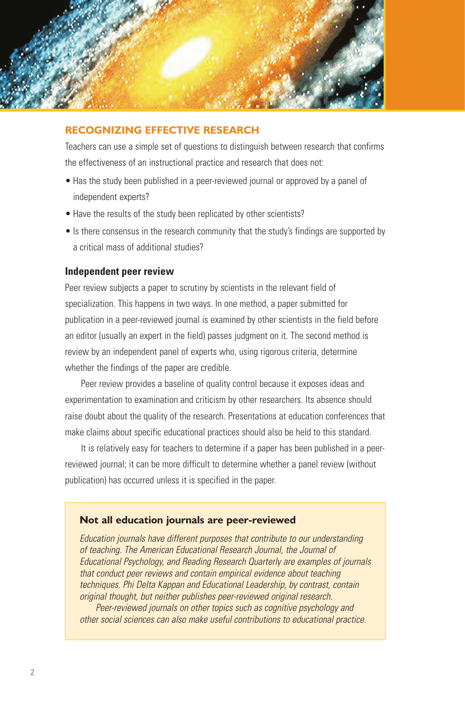

# **RECOGNIZING EFFECTIVE RESEARCH**

Teachers can use a simple set of questions to distinguish between research that confirms the effectiveness of an instructional practice and research that does not:

- Has the study been published in a peer-reviewed journal or approved by a panel of independent experts?
- Have the results of the study been replicated by other scientists?
- Is there consensus in the research community that the study's findings are supported by a critical mass of additional studies?

## **Independent peer review**

Peer review subjects a paper to scrutiny by scientists in the relevant field of specialization. This happens in two ways. In one method, a paper submitted for publication in a peer-reviewed journal is examined by other scientists in the field before an editor (usually an expert in the field) passes judgment on it. The second method is review by an independent panel of experts who, using rigorous criteria, determine whether the findings of the paper are credible.

Peer review provides a baseline of quality control because it exposes ideas and experimentation to examination and criticism by other researchers. Its absence should raise doubt about the quality of the research. Presentations at education conferences that make claims about specific educational practices should also be held to this standard.

It is relatively easy for teachers to determine if a paper has been published in a peerreviewed journal; it can be more difficult to determine whether a panel review (without publication) has occurred unless it is specified in the paper.

## **Not all education journals are peer-reviewed**

Education journals have different purposes that contribute to our understanding of teaching. The American Educational Research Journal, the Journal of Educational Psychology, and Reading Research Quarterly are examples of journals that conduct peer reviews and contain empirical evidence about teaching techniques. Phi Delta Kappan and Educational Leadership, by contrast, contain original thought, but neither publishes peer-reviewed original research.

Peer-reviewed journals on other topics such as cognitive psychology and other social sciences can also make useful contributions to educational practice.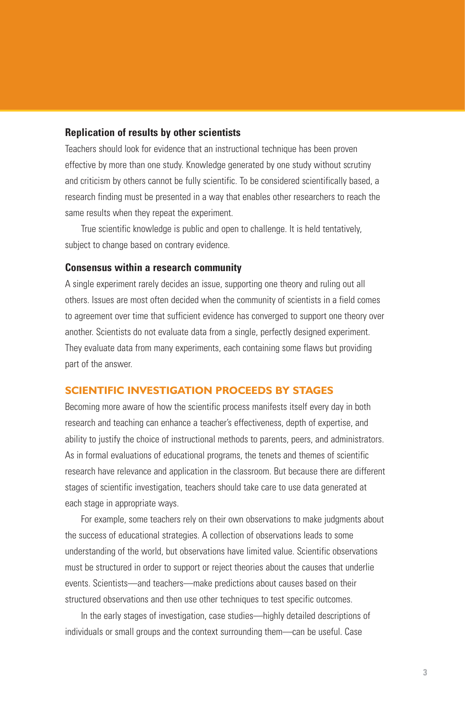## **Replication of results by other scientists**

Teachers should look for evidence that an instructional technique has been proven effective by more than one study. Knowledge generated by one study without scrutiny and criticism by others cannot be fully scientific. To be considered scientifically based, a research finding must be presented in a way that enables other researchers to reach the same results when they repeat the experiment.

True scientific knowledge is public and open to challenge. It is held tentatively, subject to change based on contrary evidence.

### **Consensus within a research community**

A single experiment rarely decides an issue, supporting one theory and ruling out all others. Issues are most often decided when the community of scientists in a field comes to agreement over time that sufficient evidence has converged to support one theory over another. Scientists do not evaluate data from a single, perfectly designed experiment. They evaluate data from many experiments, each containing some flaws but providing part of the answer.

## **SCIENTIFIC INVESTIGATION PROCEEDS BY STAGES**

Becoming more aware of how the scientific process manifests itself every day in both research and teaching can enhance a teacher's effectiveness, depth of expertise, and ability to justify the choice of instructional methods to parents, peers, and administrators. As in formal evaluations of educational programs, the tenets and themes of scientific research have relevance and application in the classroom. But because there are different stages of scientific investigation, teachers should take care to use data generated at each stage in appropriate ways.

For example, some teachers rely on their own observations to make judgments about the success of educational strategies. A collection of observations leads to some understanding of the world, but observations have limited value. Scientific observations must be structured in order to support or reject theories about the causes that underlie events. Scientists—and teachers—make predictions about causes based on their structured observations and then use other techniques to test specific outcomes.

In the early stages of investigation, case studies—highly detailed descriptions of individuals or small groups and the context surrounding them—can be useful. Case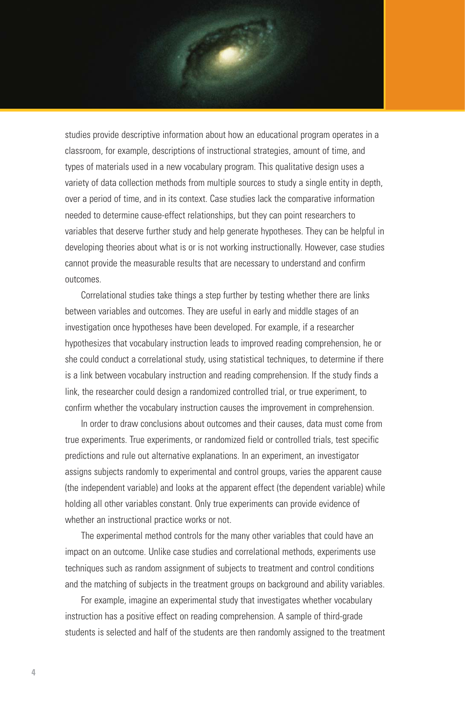studies provide descriptive information about how an educational program operates in a classroom, for example, descriptions of instructional strategies, amount of time, and types of materials used in a new vocabulary program. This qualitative design uses a variety of data collection methods from multiple sources to study a single entity in depth, over a period of time, and in its context. Case studies lack the comparative information needed to determine cause-effect relationships, but they can point researchers to variables that deserve further study and help generate hypotheses. They can be helpful in developing theories about what is or is not working instructionally. However, case studies cannot provide the measurable results that are necessary to understand and confirm outcomes.

Correlational studies take things a step further by testing whether there are links between variables and outcomes. They are useful in early and middle stages of an investigation once hypotheses have been developed. For example, if a researcher hypothesizes that vocabulary instruction leads to improved reading comprehension, he or she could conduct a correlational study, using statistical techniques, to determine if there is a link between vocabulary instruction and reading comprehension. If the study finds a link, the researcher could design a randomized controlled trial, or true experiment, to confirm whether the vocabulary instruction causes the improvement in comprehension.

In order to draw conclusions about outcomes and their causes, data must come from true experiments. True experiments, or randomized field or controlled trials, test specific predictions and rule out alternative explanations. In an experiment, an investigator assigns subjects randomly to experimental and control groups, varies the apparent cause (the independent variable) and looks at the apparent effect (the dependent variable) while holding all other variables constant. Only true experiments can provide evidence of whether an instructional practice works or not.

The experimental method controls for the many other variables that could have an impact on an outcome. Unlike case studies and correlational methods, experiments use techniques such as random assignment of subjects to treatment and control conditions and the matching of subjects in the treatment groups on background and ability variables.

For example, imagine an experimental study that investigates whether vocabulary instruction has a positive effect on reading comprehension. A sample of third-grade students is selected and half of the students are then randomly assigned to the treatment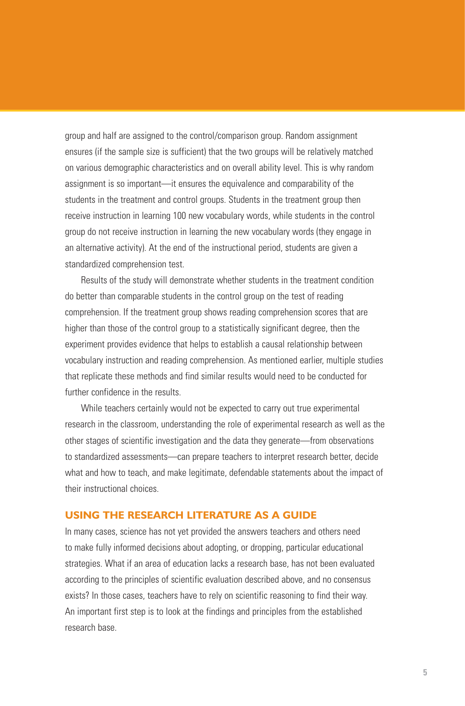group and half are assigned to the control/comparison group. Random assignment ensures (if the sample size is sufficient) that the two groups will be relatively matched on various demographic characteristics and on overall ability level. This is why random assignment is so important—it ensures the equivalence and comparability of the students in the treatment and control groups. Students in the treatment group then receive instruction in learning 100 new vocabulary words, while students in the control group do not receive instruction in learning the new vocabulary words (they engage in an alternative activity). At the end of the instructional period, students are given a standardized comprehension test.

Results of the study will demonstrate whether students in the treatment condition do better than comparable students in the control group on the test of reading comprehension. If the treatment group shows reading comprehension scores that are higher than those of the control group to a statistically significant degree, then the experiment provides evidence that helps to establish a causal relationship between vocabulary instruction and reading comprehension. As mentioned earlier, multiple studies that replicate these methods and find similar results would need to be conducted for further confidence in the results.

While teachers certainly would not be expected to carry out true experimental research in the classroom, understanding the role of experimental research as well as the other stages of scientific investigation and the data they generate—from observations to standardized assessments—can prepare teachers to interpret research better, decide what and how to teach, and make legitimate, defendable statements about the impact of their instructional choices.

## **USING THE RESEARCH LITERATURE AS A GUIDE**

In many cases, science has not yet provided the answers teachers and others need to make fully informed decisions about adopting, or dropping, particular educational strategies. What if an area of education lacks a research base, has not been evaluated according to the principles of scientific evaluation described above, and no consensus exists? In those cases, teachers have to rely on scientific reasoning to find their way. An important first step is to look at the findings and principles from the established research base.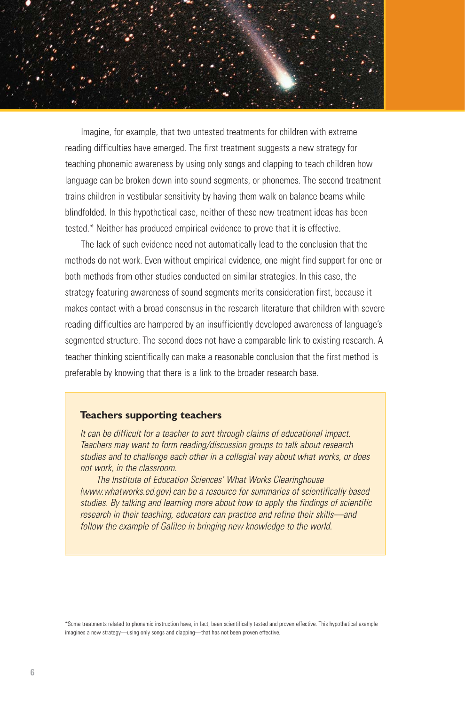

Imagine, for example, that two untested treatments for children with extreme reading difficulties have emerged. The first treatment suggests a new strategy for teaching phonemic awareness by using only songs and clapping to teach children how language can be broken down into sound segments, or phonemes. The second treatment trains children in vestibular sensitivity by having them walk on balance beams while blindfolded. In this hypothetical case, neither of these new treatment ideas has been tested.\* Neither has produced empirical evidence to prove that it is effective.

The lack of such evidence need not automatically lead to the conclusion that the methods do not work. Even without empirical evidence, one might find support for one or both methods from other studies conducted on similar strategies. In this case, the strategy featuring awareness of sound segments merits consideration first, because it makes contact with a broad consensus in the research literature that children with severe reading difficulties are hampered by an insufficiently developed awareness of language's segmented structure. The second does not have a comparable link to existing research. A teacher thinking scientifically can make a reasonable conclusion that the first method is preferable by knowing that there is a link to the broader research base.

#### **Teachers supporting teachers**

It can be difficult for a teacher to sort through claims of educational impact. Teachers may want to form reading/discussion groups to talk about research studies and to challenge each other in a collegial way about what works, or does not work, in the classroom.

The Institute of Education Sciences' What Works Clearinghouse (www.whatworks.ed.gov) can be a resource for summaries of scientifically based studies. By talking and learning more about how to apply the findings of scientific research in their teaching, educators can practice and refine their skills—and follow the example of Galileo in bringing new knowledge to the world.

\*Some treatments related to phonemic instruction have, in fact, been scientifically tested and proven effective. This hypothetical example imagines a new strategy—using only songs and clapping—that has not been proven effective.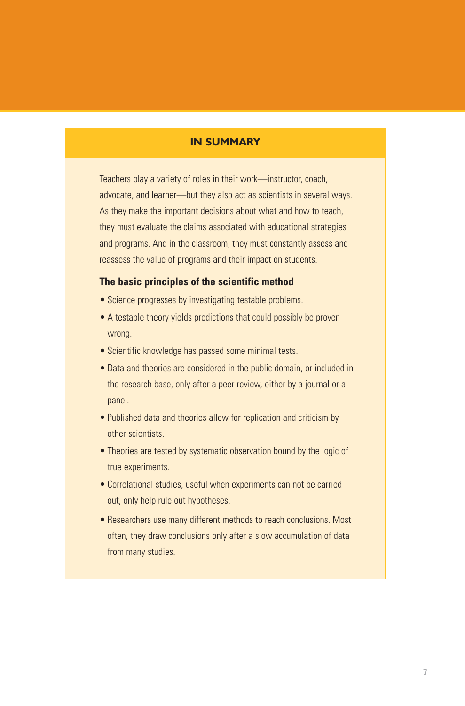## **IN SUMMARY**

Teachers play a variety of roles in their work—instructor, coach, advocate, and learner—but they also act as scientists in several ways. As they make the important decisions about what and how to teach, they must evaluate the claims associated with educational strategies and programs. And in the classroom, they must constantly assess and reassess the value of programs and their impact on students.

#### **The basic principles of the scientific method**

- Science progresses by investigating testable problems.
- A testable theory yields predictions that could possibly be proven wrong.
- Scientific knowledge has passed some minimal tests.
- Data and theories are considered in the public domain, or included in the research base, only after a peer review, either by a journal or a panel.
- Published data and theories allow for replication and criticism by other scientists.
- Theories are tested by systematic observation bound by the logic of true experiments.
- Correlational studies, useful when experiments can not be carried out, only help rule out hypotheses.
- Researchers use many different methods to reach conclusions. Most often, they draw conclusions only after a slow accumulation of data from many studies.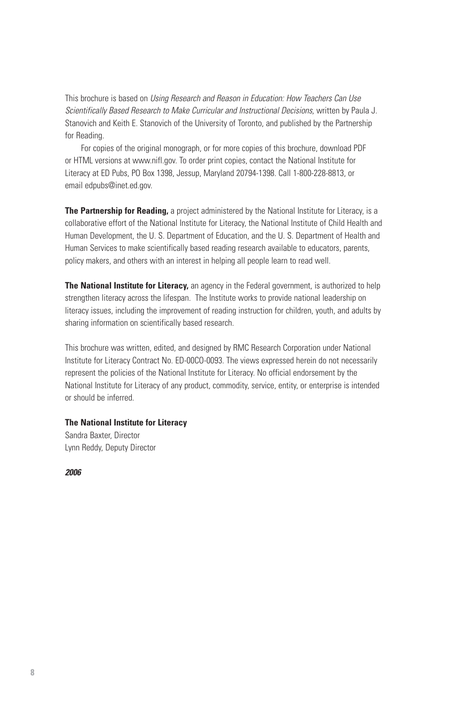This brochure is based on Using Research and Reason in Education: How Teachers Can Use Scientifically Based Research to Make Curricular and Instructional Decisions, written by Paula J. Stanovich and Keith E. Stanovich of the University of Toronto, and published by the Partnership for Reading.

For copies of the original monograph, or for more copies of this brochure, download PDF or HTML versions at www.nifl.gov. To order print copies, contact the National Institute for Literacy at ED Pubs, PO Box 1398, Jessup, Maryland 20794-1398. Call 1-800-228-8813, or email edpubs@inet.ed.gov.

**The Partnership for Reading,** a project administered by the National Institute for Literacy, is a collaborative effort of the National Institute for Literacy, the National Institute of Child Health and Human Development, the U. S. Department of Education, and the U. S. Department of Health and Human Services to make scientifically based reading research available to educators, parents, policy makers, and others with an interest in helping all people learn to read well.

**The National Institute for Literacy,** an agency in the Federal government, is authorized to help strengthen literacy across the lifespan. The Institute works to provide national leadership on literacy issues, including the improvement of reading instruction for children, youth, and adults by sharing information on scientifically based research.

This brochure was written, edited, and designed by RMC Research Corporation under National Institute for Literacy Contract No. ED-00CO-0093. The views expressed herein do not necessarily represent the policies of the National Institute for Literacy. No official endorsement by the National Institute for Literacy of any product, commodity, service, entity, or enterprise is intended or should be inferred.

#### **The National Institute for Literacy**

Sandra Baxter, Director Lynn Reddy, Deputy Director

**2006**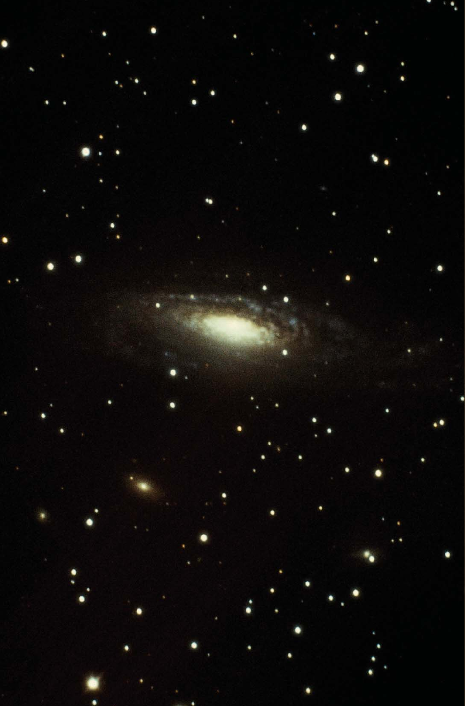